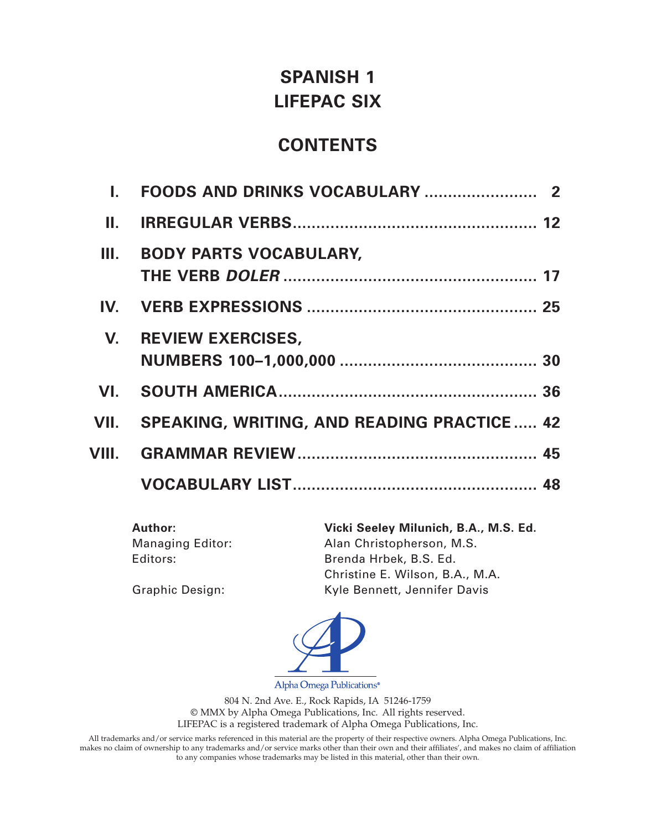## **SPANISH 1 LIFEPAC SIX**

## **CONTENTS**

| H., |                                                 |  |
|-----|-------------------------------------------------|--|
| Ш.  | <b>BODY PARTS VOCABULARY,</b>                   |  |
|     |                                                 |  |
|     | V. REVIEW EXERCISES,                            |  |
| VI. |                                                 |  |
|     | VII. SPEAKING, WRITING, AND READING PRACTICE 42 |  |
|     |                                                 |  |
|     |                                                 |  |
|     |                                                 |  |

Managing Editor: Alan Christopherson, M.S. Editors: Brenda Hrbek, B.S. Ed.

**Author: Vicki Seeley Milunich, B.A., M.S. Ed.** Christine E. Wilson, B.A., M.A. Graphic Design: Kyle Bennett, Jennifer Davis



Alpha Omega Publications<sup>®</sup>

804 N. 2nd Ave. E., Rock Rapids, IA 51246-1759 © MMX by Alpha Omega Publications, Inc. All rights reserved. LIFEPAC is a registered trademark of Alpha Omega Publications, Inc.

All trademarks and/or service marks referenced in this material are the property of their respective owners. Alpha Omega Publications, Inc. makes no claim of ownership to any trademarks and/or service marks other than their own and their affiliates', and makes no claim of affiliation to any companies whose trademarks may be listed in this material, other than their own.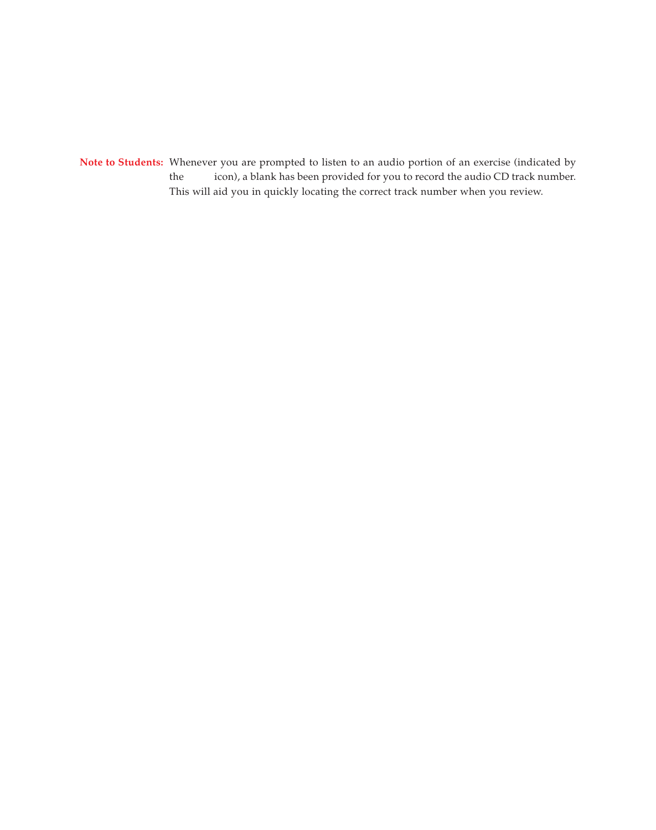**Note to Students:** Whenever you are prompted to listen to an audio portion of an exercise (indicated by the icon), a blank has been provided for you to record the audio CD track number. This will aid you in quickly locating the correct track number when you review.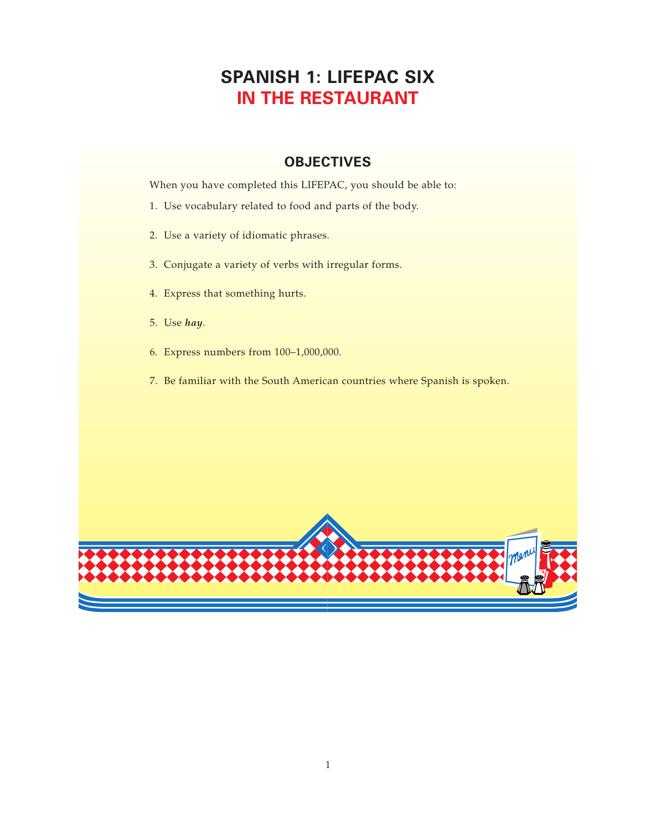## **SPANISH 1: LIFEPAC SIX IN THE RESTAURANT**

#### **OBJECTIVES**

When you have completed this LIFEPAC, you should be able to:

- 1. Use vocabulary related to food and parts of the body.
- 2. Use a variety of idiomatic phrases.
- 3. Conjugate a variety of verbs with irregular forms.
- 4. Express that something hurts.
- 5. Use *hay*.
- 6. Express numbers from 100–1,000,000.
- 7. Be familiar with the South American countries where Spanish is spoken.

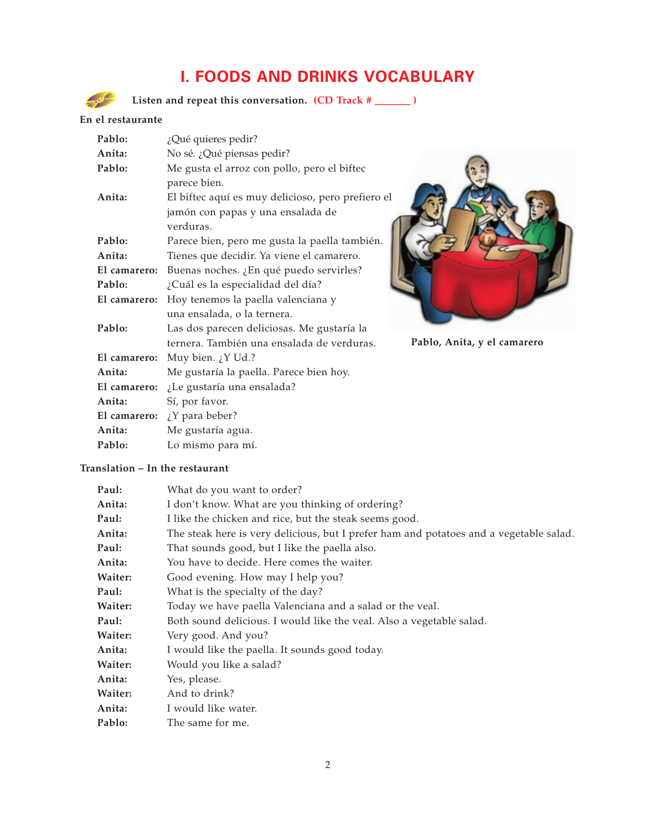### **I. FOODS AND DRINKS VOCABULARY**

Listen and repeat this conversation. **(CD Track #** \_\_\_\_\_\_ )

#### **En el restaurante**

| Pablo:                                             | ¿Qué quieres pedir?                               |  |  |
|----------------------------------------------------|---------------------------------------------------|--|--|
| Anita:                                             | No sé. ¿Qué piensas pedir?                        |  |  |
| Pablo:                                             | Me gusta el arroz con pollo, pero el biftec       |  |  |
|                                                    | parece bien.                                      |  |  |
| Anita:                                             | El biftec aquí es muy delicioso, pero prefiero el |  |  |
|                                                    | jamón con papas y una ensalada de                 |  |  |
|                                                    | verduras.                                         |  |  |
| Pablo:                                             | Parece bien, pero me gusta la paella también.     |  |  |
| Anita:                                             | Tienes que decidir. Ya viene el camarero.         |  |  |
| El camarero:                                       | Buenas noches. ¿En qué puedo servirles?           |  |  |
| Pablo:                                             | ¿Cuál es la especialidad del día?                 |  |  |
| Hoy tenemos la paella valenciana y<br>El camarero: |                                                   |  |  |
|                                                    | una ensalada, o la ternera.                       |  |  |
| Pablo:                                             | Las dos parecen deliciosas. Me gustaría la        |  |  |
|                                                    | ternera. También una ensalada de verduras.        |  |  |
| El camarero:                                       | Muy bien. $\chi$ Y Ud.?                           |  |  |
| Anita:                                             | Me gustaría la paella. Parece bien hoy.           |  |  |
| El camarero:                                       | ¿Le gustaría una ensalada?                        |  |  |
| Anita:                                             | Sí, por favor.                                    |  |  |
|                                                    | El camarero: $\chi$ Y para beber?                 |  |  |
| Anita:                                             | Me gustaría agua.                                 |  |  |
| Pablo:                                             | Lo mismo para mí.                                 |  |  |



**Pablo, Anita, y el camarero**

#### **Translation – In the restaurant**

| Paul:          | What do you want to order?                                                             |
|----------------|----------------------------------------------------------------------------------------|
| Anita:         | I don't know. What are you thinking of ordering?                                       |
| Paul:          | I like the chicken and rice, but the steak seems good.                                 |
| Anita:         | The steak here is very delicious, but I prefer ham and potatoes and a vegetable salad. |
| Paul:          | That sounds good, but I like the paella also.                                          |
| Anita:         | You have to decide. Here comes the waiter.                                             |
| Waiter:        | Good evening. How may I help you?                                                      |
| Paul:          | What is the specialty of the day?                                                      |
| Waiter:        | Today we have paella Valenciana and a salad or the veal.                               |
| Paul:          | Both sound delicious. I would like the veal. Also a vegetable salad.                   |
| <b>Waiter:</b> | Very good. And you?                                                                    |
| Anita:         | I would like the paella. It sounds good today.                                         |
| Waiter:        | Would you like a salad?                                                                |
| Anita:         | Yes, please.                                                                           |
| Waiter:        | And to drink?                                                                          |
| Anita:         | I would like water.                                                                    |
| Pablo:         | The same for me.                                                                       |
|                |                                                                                        |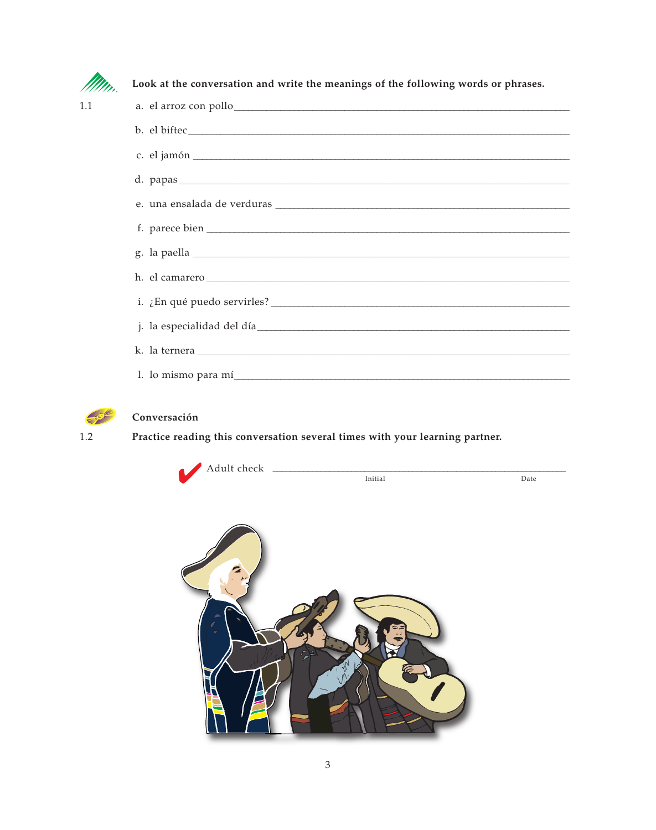

 $1.1$ 

Look at the conversation and write the meanings of the following words or phrases.

| a. el arroz con pollo                                                                                           |
|-----------------------------------------------------------------------------------------------------------------|
|                                                                                                                 |
|                                                                                                                 |
|                                                                                                                 |
|                                                                                                                 |
|                                                                                                                 |
|                                                                                                                 |
|                                                                                                                 |
|                                                                                                                 |
| j. la especialidad del día entre establecer establecer establecer establecer establecer establecer establecer e |
|                                                                                                                 |
| l. lo mismo para mí                                                                                             |



#### Conversación

Practice reading this conversation several times with your learning partner.



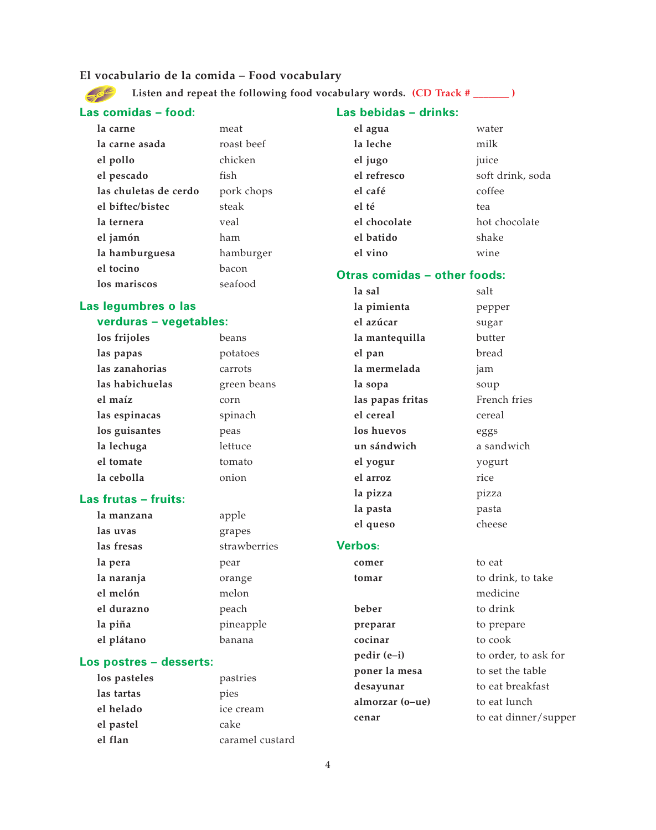#### **El vocabulario de la comida – Food vocabulary**

Listen and repeat the following food vocabulary words. (CD Track # \_\_\_\_\_\_ )  $-60$ 

#### **Las comidas – food:**

#### **Las bebidas – drinks:**

| la carne              | meat       | el agua                             | water            |
|-----------------------|------------|-------------------------------------|------------------|
| la carne asada        | roast beef | la leche                            | milk             |
| el pollo              | chicken    | el jugo                             | juice            |
| el pescado            | fish       | el refresco                         | soft drink, soda |
| las chuletas de cerdo | pork chops | el café                             | coffee           |
| el biftec/bistec      | steak      | el té                               | tea              |
| la ternera            | veal       | el chocolate                        | hot chocolate    |
| el jamón              | ham        | el batido                           | shake            |
| la hamburguesa        | hamburger  | el vino                             | wine             |
| el tocino             | bacon      | <b>Otras comidas - other foods:</b> |                  |
| los mariscos          | seafood    |                                     |                  |

#### **Las legumbres o las**

#### **verduras – vegetables:**

| los frijoles    | beans       |
|-----------------|-------------|
| las papas       | potatoes    |
| las zanahorias  | carrots     |
| las habichuelas | green beans |
| el maíz         | corn        |
| las espinacas   | spinach     |
| los guisantes   | peas        |
| la lechuga      | lettuce     |
| el tomate       | tomato      |
| la cebolla      | onion       |

#### **Las frutas – fruits:**

| la manzana | apple        |
|------------|--------------|
| las uvas   | grapes       |
| las fresas | strawberries |
| la pera    | pear         |
| la naranja | orange       |
| el melón   | melon        |
| el durazno | peach        |
| la piña    | pineapple    |
| el plátano | banana       |

#### **Los postres – desserts:**

| los pasteles | pastries        |
|--------------|-----------------|
| las tartas   | pies            |
| el helado    | ice cream       |
| el pastel    | cake            |
| el flan      | caramel custard |

| la sal           | salt         |
|------------------|--------------|
| la pimienta      | pepper       |
| el azúcar        | sugar        |
| la mantequilla   | butter       |
| el pan           | bread        |
| la mermelada     | jam          |
| la sopa          | soup         |
| las papas fritas | French fries |
| el cereal        | cereal       |
| los huevos       | eggs         |
| un sándwich      | a sandwich   |
| el yogur         | yogurt       |
| el arroz         | rice         |
| la pizza         | pizza        |
| la pasta         | pasta        |
| el queso         | cheese       |

#### **Verbos:**

**comer** to eat **beber** to drink **preparar** to prepare **cocinar** to cook **poner la mesa** to set the table desayunar to eat breakfast **almorzar (o–ue)** to eat lunch **cenar** to eat dinner/supper

# **tomar** to drink, to take medicine **pedir (e–i)** to order, to ask for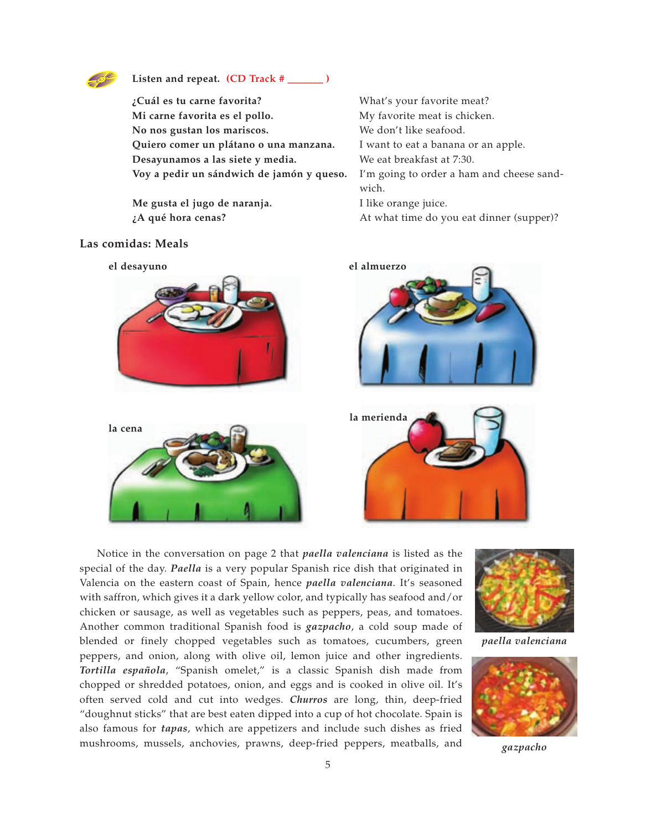

#### **Listen and repeat. (CD Track # \_\_\_\_\_\_\_ )**

**¿Cuál es tu carne favorita?** What's your favorite meat? **Mi carne favorita es el pollo.** My favorite meat is chicken. **No nos gustan los mariscos.** We don't like seafood. **Quiero comer un plátano o una manzana.** I want to eat a banana or an apple. **Desayunamos a las siete y media.** We eat breakfast at 7:30. **Voy a pedir un sándwich de jamón y queso.** I'm going to order a ham and cheese sand-

**Me gusta el jugo de naranja.** I like orange juice.

wich. *iA* qué hora cenas? **At what time do you eat dinner (supper)?** 

#### **Las comidas: Meals**



Notice in the conversation on page 2 that *paella valenciana* is listed as the special of the day. *Paella* is a very popular Spanish rice dish that originated in Valencia on the eastern coast of Spain, hence *paella valenciana*. It's seasoned with saffron, which gives it a dark yellow color, and typically has seafood and/or chicken or sausage, as well as vegetables such as peppers, peas, and tomatoes. Another common traditional Spanish food is *gazpacho*, a cold soup made of blended or finely chopped vegetables such as tomatoes, cucumbers, green peppers, and onion, along with olive oil, lemon juice and other ingredients. *Tortilla española*, "Spanish omelet," is a classic Spanish dish made from chopped or shredded potatoes, onion, and eggs and is cooked in olive oil. It's often served cold and cut into wedges. *Churros* are long, thin, deep-fried "doughnut sticks" that are best eaten dipped into a cup of hot chocolate. Spain is also famous for *tapas*, which are appetizers and include such dishes as fried mushrooms, mussels, anchovies, prawns, deep-fried peppers, meatballs, and



*paella valenciana*



*gazpacho*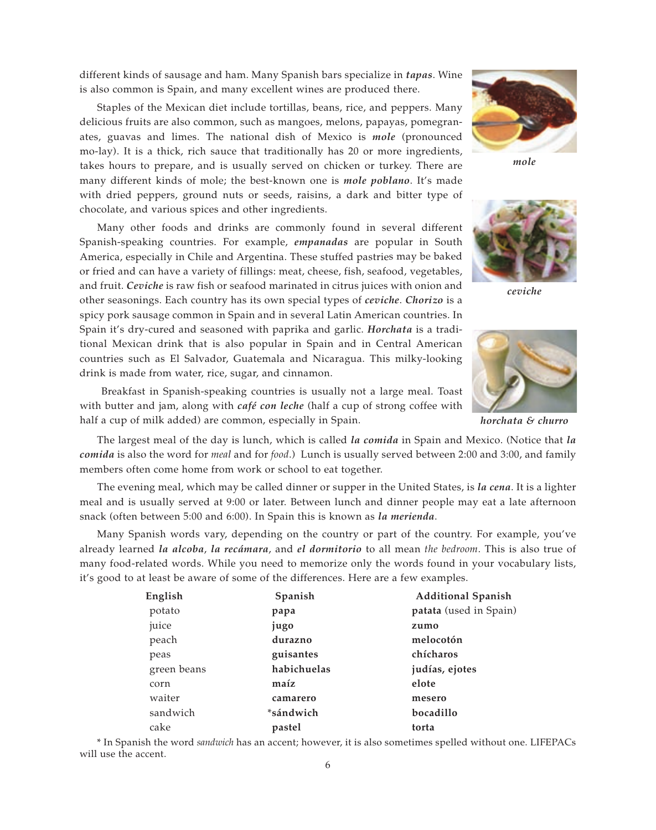different kinds of sausage and ham. Many Spanish bars specialize in *tapas*. Wine is also common is Spain, and many excellent wines are produced there.

Staples of the Mexican diet include tortillas, beans, rice, and peppers. Many delicious fruits are also common, such as mangoes, melons, papayas, pomegranates, guavas and limes. The national dish of Mexico is *mole* (pronounced mo-lay). It is a thick, rich sauce that traditionally has 20 or more ingredients, takes hours to prepare, and is usually served on chicken or turkey. There are many different kinds of mole; the best-known one is *mole poblano*. It's made with dried peppers, ground nuts or seeds, raisins, a dark and bitter type of chocolate, and various spices and other ingredients.

Many other foods and drinks are commonly found in several different Spanish-speaking countries. For example, *empanadas* are popular in South America, especially in Chile and Argentina. These stuffed pastries may be baked or fried and can have a variety of fillings: meat, cheese, fish, seafood, vegetables, and fruit. *Ceviche* is raw fish or seafood marinated in citrus juices with onion and other seasonings. Each country has its own special types of *ceviche*. *Chorizo* is a spicy pork sausage common in Spain and in several Latin American countries. In Spain it's dry-cured and seasoned with paprika and garlic. *Horchata* is a traditional Mexican drink that is also popular in Spain and in Central American countries such as El Salvador, Guatemala and Nicaragua. This milky-looking drink is made from water, rice, sugar, and cinnamon.

Breakfast in Spanish-speaking countries is usually not a large meal. Toast with butter and jam, along with *café con leche* (half a cup of strong coffee with half a cup of milk added) are common, especially in Spain.

The largest meal of the day is lunch, which is called *la comida* in Spain and Mexico. (Notice that *la comida* is also the word for *meal* and for *food*.) Lunch is usually served between 2:00 and 3:00, and family members often come home from work or school to eat together.

The evening meal, which may be called dinner or supper in the United States, is *la cena*. It is a lighter meal and is usually served at 9:00 or later. Between lunch and dinner people may eat a late afternoon snack (often between 5:00 and 6:00). In Spain this is known as *la merienda*.

Many Spanish words vary, depending on the country or part of the country. For example, you've already learned *la alcoba*, *la recámara*, and *el dormitorio* to all mean *the bedroom*. This is also true of many food-related words. While you need to memorize only the words found in your vocabulary lists, it's good to at least be aware of some of the differences. Here are a few examples.

| English     | Spanish     | <b>Additional Spanish</b> |
|-------------|-------------|---------------------------|
| potato      | papa        | patata (used in Spain)    |
| juice       | jugo        | zumo                      |
| peach       | durazno     | melocotón                 |
| peas        | guisantes   | chícharos                 |
| green beans | habichuelas | judías, ejotes            |
| corn        | maíz        | elote                     |
| waiter      | camarero    | mesero                    |
| sandwich    | *sándwich   | bocadillo                 |
| cake        | pastel      | torta                     |

\* In Spanish the word *sandwich* has an accent; however, it is also sometimes spelled without one. LIFEPACs will use the accent.



*mole*



*ceviche*



*horchata & churro*